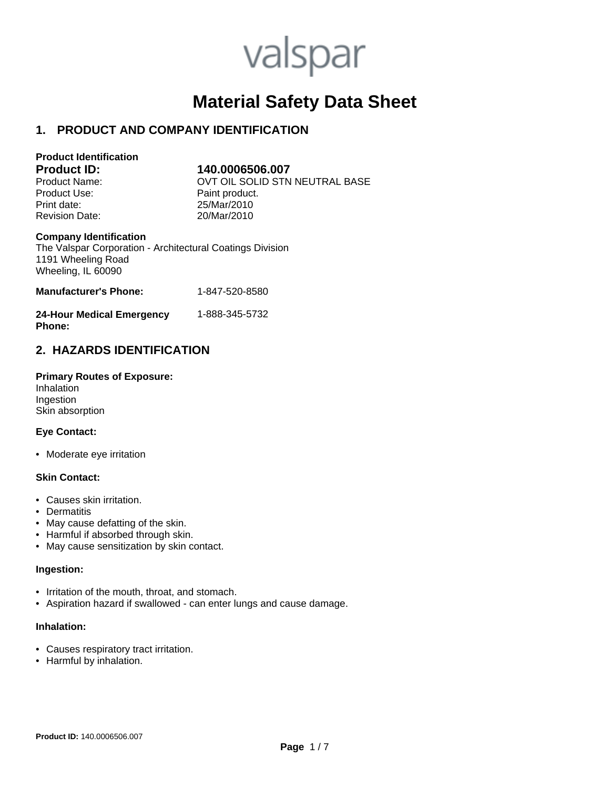# valspar

# **Material Safety Data Sheet**

# **1. PRODUCT AND COMPANY IDENTIFICATION**

| <b>Product Identification</b> |               |
|-------------------------------|---------------|
| <b>Product ID:</b>            | 140.00065     |
| Product Name:                 | OVT OIL SO    |
| Product Use:                  | Paint product |
| Print date:                   | 25/Mar/2010   |

#### **Product ID: 140.0006506.007**

OVT OIL SOLID STN NEUTRAL BASE Paint product. Revision Date: 20/Mar/2010

#### **Company Identification**

The Valspar Corporation - Architectural Coatings Division 1191 Wheeling Road Wheeling, IL 60090

| <b>Manufacturer's Phone:</b> | 1-847-520-8580 |
|------------------------------|----------------|
|                              |                |

| <b>24-Hour Medical Emergency</b> | 1-888-345-5732 |
|----------------------------------|----------------|
| <b>Phone:</b>                    |                |

# **2. HAZARDS IDENTIFICATION**

**Primary Routes of Exposure:** Inhalation Ingestion Skin absorption

#### **Eye Contact:**

• Moderate eye irritation

#### **Skin Contact:**

- Causes skin irritation.
- Dermatitis
- May cause defatting of the skin.
- Harmful if absorbed through skin.
- May cause sensitization by skin contact.

#### **Ingestion:**

- Irritation of the mouth, throat, and stomach.
- Aspiration hazard if swallowed can enter lungs and cause damage.

#### **Inhalation:**

- Causes respiratory tract irritation.
- Harmful by inhalation.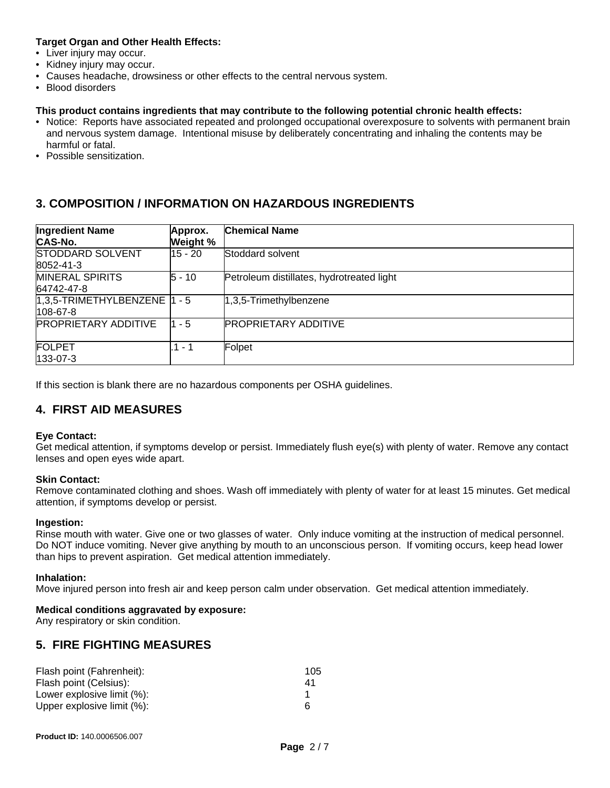#### **Target Organ and Other Health Effects:**

- Liver injury may occur.
- Kidney injury may occur.
- Causes headache, drowsiness or other effects to the central nervous system.
- Blood disorders

#### **This product contains ingredients that may contribute to the following potential chronic health effects:**

- Notice: Reports have associated repeated and prolonged occupational overexposure to solvents with permanent brain and nervous system damage. Intentional misuse by deliberately concentrating and inhaling the contents may be harmful or fatal.
- Possible sensitization.

# **3. COMPOSITION / INFORMATION ON HAZARDOUS INGREDIENTS**

| <b>Ingredient Name</b><br><b>CAS-No.</b>          | Approx.<br>Weight % | <b>Chemical Name</b>                      |
|---------------------------------------------------|---------------------|-------------------------------------------|
| <b>STODDARD SOLVENT</b><br>8052-41-3              | 15 - 20             | Stoddard solvent                          |
| <b>MINERAL SPIRITS</b><br>64742-47-8              | $5 - 10$            | Petroleum distillates, hydrotreated light |
| $1,3,5$ -TRIMETHYLBENZENE $ 1 - 5 $<br>$108-67-8$ |                     | 1,3,5-Trimethylbenzene                    |
| <b>PROPRIETARY ADDITIVE</b>                       | $1 - 5$             | <b>PROPRIETARY ADDITIVE</b>               |
| <b>FOLPET</b><br>$ 133-07-3 $                     | .1 - 1              | Folpet                                    |

If this section is blank there are no hazardous components per OSHA guidelines.

# **4. FIRST AID MEASURES**

#### **Eye Contact:**

Get medical attention, if symptoms develop or persist. Immediately flush eye(s) with plenty of water. Remove any contact lenses and open eyes wide apart.

#### **Skin Contact:**

Remove contaminated clothing and shoes. Wash off immediately with plenty of water for at least 15 minutes. Get medical attention, if symptoms develop or persist.

#### **Ingestion:**

Rinse mouth with water. Give one or two glasses of water. Only induce vomiting at the instruction of medical personnel. Do NOT induce vomiting. Never give anything by mouth to an unconscious person. If vomiting occurs, keep head lower than hips to prevent aspiration. Get medical attention immediately.

#### **Inhalation:**

Move injured person into fresh air and keep person calm under observation. Get medical attention immediately.

#### **Medical conditions aggravated by exposure:**

Any respiratory or skin condition.

# **5. FIRE FIGHTING MEASURES**

| Flash point (Fahrenheit):  | 105 |
|----------------------------|-----|
| Flash point (Celsius):     | 41  |
| Lower explosive limit (%): |     |
| Upper explosive limit (%): | Б   |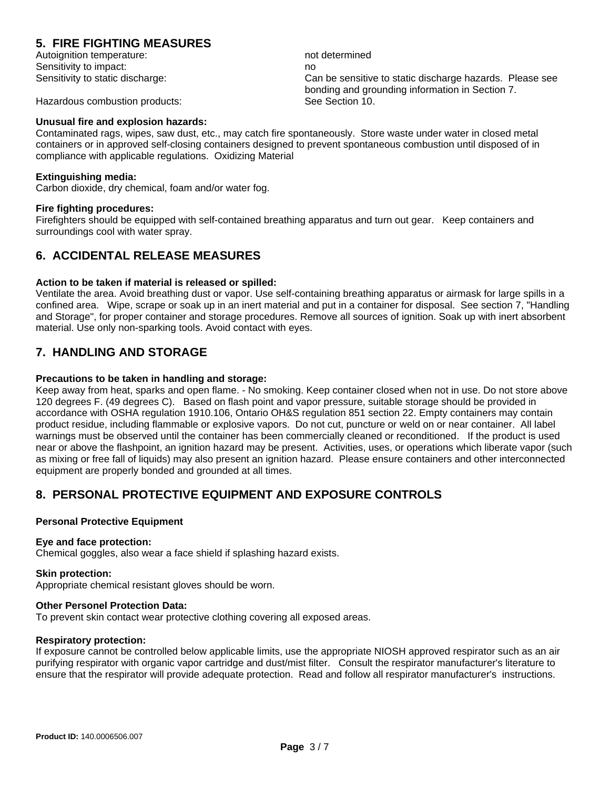# **5. FIRE FIGHTING MEASURES**

Autoignition temperature: not determined Sensitivity to impact: no

Sensitivity to static discharge: Can be sensitive to static discharge hazards. Please see bonding and grounding information in Section 7.

Hazardous combustion products: See Section 10.

#### **Unusual fire and explosion hazards:**

Contaminated rags, wipes, saw dust, etc., may catch fire spontaneously. Store waste under water in closed metal containers or in approved self-closing containers designed to prevent spontaneous combustion until disposed of in compliance with applicable regulations. Oxidizing Material

#### **Extinguishing media:**

Carbon dioxide, dry chemical, foam and/or water fog.

#### **Fire fighting procedures:**

Firefighters should be equipped with self-contained breathing apparatus and turn out gear. Keep containers and surroundings cool with water spray.

## **6. ACCIDENTAL RELEASE MEASURES**

#### **Action to be taken if material is released or spilled:**

Ventilate the area. Avoid breathing dust or vapor. Use self-containing breathing apparatus or airmask for large spills in a confined area. Wipe, scrape or soak up in an inert material and put in a container for disposal. See section 7, "Handling and Storage", for proper container and storage procedures. Remove all sources of ignition. Soak up with inert absorbent material. Use only non-sparking tools. Avoid contact with eyes.

# **7. HANDLING AND STORAGE**

#### **Precautions to be taken in handling and storage:**

Keep away from heat, sparks and open flame. - No smoking. Keep container closed when not in use. Do not store above 120 degrees F. (49 degrees C). Based on flash point and vapor pressure, suitable storage should be provided in accordance with OSHA regulation 1910.106, Ontario OH&S regulation 851 section 22. Empty containers may contain product residue, including flammable or explosive vapors. Do not cut, puncture or weld on or near container. All label warnings must be observed until the container has been commercially cleaned or reconditioned. If the product is used near or above the flashpoint, an ignition hazard may be present. Activities, uses, or operations which liberate vapor (such as mixing or free fall of liquids) may also present an ignition hazard. Please ensure containers and other interconnected equipment are properly bonded and grounded at all times.

# **8. PERSONAL PROTECTIVE EQUIPMENT AND EXPOSURE CONTROLS**

#### **Personal Protective Equipment**

#### **Eye and face protection:**

Chemical goggles, also wear a face shield if splashing hazard exists.

#### **Skin protection:**

Appropriate chemical resistant gloves should be worn.

#### **Other Personel Protection Data:**

To prevent skin contact wear protective clothing covering all exposed areas.

# **Respiratory protection:**

If exposure cannot be controlled below applicable limits, use the appropriate NIOSH approved respirator such as an air purifying respirator with organic vapor cartridge and dust/mist filter. Consult the respirator manufacturer's literature to ensure that the respirator will provide adequate protection. Read and follow all respirator manufacturer's instructions.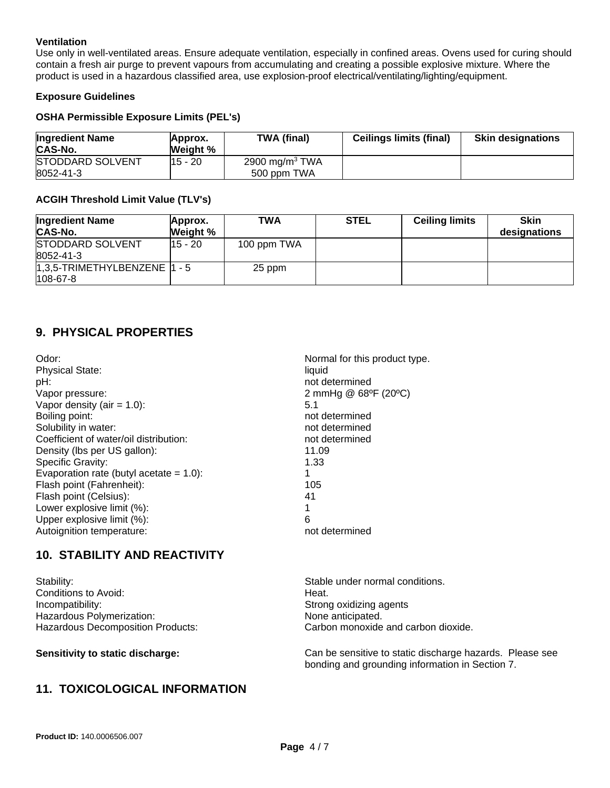#### **Ventilation**

Use only in well-ventilated areas. Ensure adequate ventilation, especially in confined areas. Ovens used for curing should contain a fresh air purge to prevent vapours from accumulating and creating a possible explosive mixture. Where the product is used in a hazardous classified area, use explosion-proof electrical/ventilating/lighting/equipment.

#### **Exposure Guidelines**

## **OSHA Permissible Exposure Limits (PEL's)**

| <b>Ingredient Name</b><br><b>CAS-No.</b> | Approx.<br>Weight % | TWA (final)                      | <b>Ceilings limits (final)</b> | <b>Skin designations</b> |
|------------------------------------------|---------------------|----------------------------------|--------------------------------|--------------------------|
| <b>STODDARD SOLVENT</b><br>8052-41-3     | 15 - 20             | 2900 mg/m $3$ TWA<br>500 ppm TWA |                                |                          |

#### **ACGIH Threshold Limit Value (TLV's)**

| <b>Ingredient Name</b><br><b>CAS-No.</b>          | Approx.<br>Weight % | <b>TWA</b>  | <b>STEL</b> | <b>Ceiling limits</b> | <b>Skin</b><br>designations |
|---------------------------------------------------|---------------------|-------------|-------------|-----------------------|-----------------------------|
| <b>STODDARD SOLVENT</b><br>8052-41-3              | 15 - 20             | 100 ppm TWA |             |                       |                             |
| $1,3,5$ -TRIMETHYLBENZENE $ 1 - 5 $<br>$108-67-8$ |                     | 25 ppm      |             |                       |                             |

# **9. PHYSICAL PROPERTIES**

| Odor:                                      | Normal for this product type. |
|--------------------------------------------|-------------------------------|
| <b>Physical State:</b>                     | liquid                        |
| pH:                                        | not determined                |
| Vapor pressure:                            | 2 mmHg @ 68°F (20°C)          |
| Vapor density (air = $1.0$ ):              | 5.1                           |
| Boiling point:                             | not determined                |
| Solubility in water:                       | not determined                |
| Coefficient of water/oil distribution:     | not determined                |
| Density (lbs per US gallon):               | 11.09                         |
| Specific Gravity:                          | 1.33                          |
| Evaporation rate (butyl acetate $= 1.0$ ): |                               |
| Flash point (Fahrenheit):                  | 105                           |
| Flash point (Celsius):                     | 41                            |
| Lower explosive limit (%):                 | 1                             |
| Upper explosive limit (%):                 | 6                             |
| Autoignition temperature:                  | not determined                |

# **10. STABILITY AND REACTIVITY**

| Stability:                               | Stable under normal conditions.     |
|------------------------------------------|-------------------------------------|
| Conditions to Avoid:                     | Heat.                               |
| Incompatibility:                         | Strong oxidizing agents             |
| Hazardous Polymerization:                | None anticipated.                   |
| <b>Hazardous Decomposition Products:</b> | Carbon monoxide and carbon dioxide. |

**Sensitivity to static discharge:** Can be sensitive to static discharge hazards. Please see bonding and grounding information in Section 7.

# **11. TOXICOLOGICAL INFORMATION**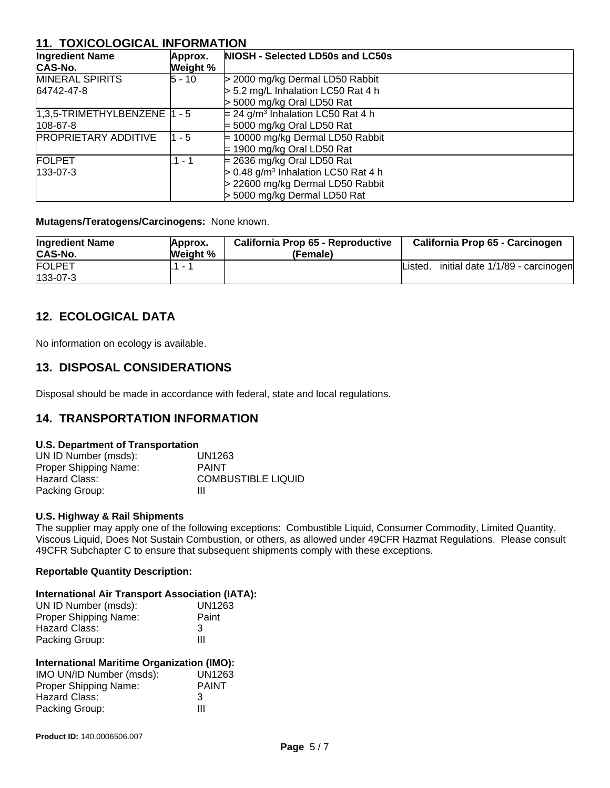# **11. TOXICOLOGICAL INFORMATION**

| <b>Ingredient Name</b><br>CAS-No.    | Approx.<br><b>Weight</b> % | NIOSH - Selected LD50s and LC50s                  |
|--------------------------------------|----------------------------|---------------------------------------------------|
| <b>MINERAL SPIRITS</b>               | $5 - 10$                   | > 2000 mg/kg Dermal LD50 Rabbit                   |
| 64742-47-8                           |                            | > 5.2 mg/L Inhalation LC50 Rat 4 h                |
|                                      |                            | > 5000 mg/kg Oral LD50 Rat                        |
| $ 1,3,5$ -TRIMETHYLBENZENE $ 1 - 5 $ |                            | $= 24$ g/m <sup>3</sup> Inhalation LC50 Rat 4 h   |
| $108-67-8$                           |                            | $=$ 5000 mg/kg Oral LD50 Rat                      |
| <b>PROPRIETARY ADDITIVE</b>          | 1 - 5                      | $= 10000$ mg/kg Dermal LD50 Rabbit                |
|                                      |                            | $=$ 1900 mg/kg Oral LD50 Rat                      |
| <b>FOLPET</b>                        | .1 - 1                     | $= 2636$ mg/kg Oral LD50 Rat                      |
| $133 - 07 - 3$                       |                            | $> 0.48$ g/m <sup>3</sup> Inhalation LC50 Rat 4 h |
|                                      |                            | > 22600 mg/kg Dermal LD50 Rabbit                  |
|                                      |                            | > 5000 mg/kg Dermal LD50 Rat                      |

**Mutagens/Teratogens/Carcinogens:** None known.

| <b>Ingredient Name</b><br><b>CAS-No.</b> | Approx.<br><b>Weight</b> % | California Prop 65 - Reproductive<br>(Female) | California Prop 65 - Carcinogen             |
|------------------------------------------|----------------------------|-----------------------------------------------|---------------------------------------------|
| <b>FOLPET</b>                            |                            |                                               | initial date 1/1/89 - carcinogen<br>Listed. |
| $133 - 07 - 3$                           |                            |                                               |                                             |

# **12. ECOLOGICAL DATA**

No information on ecology is available.

# **13. DISPOSAL CONSIDERATIONS**

Disposal should be made in accordance with federal, state and local regulations.

# **14. TRANSPORTATION INFORMATION**

#### **U.S. Department of Transportation**

| UN ID Number (msds):  | UN1263                    |
|-----------------------|---------------------------|
| Proper Shipping Name: | <b>PAINT</b>              |
| Hazard Class:         | <b>COMBUSTIBLE LIQUID</b> |
| Packing Group:        | Ш                         |

#### **U.S. Highway & Rail Shipments**

The supplier may apply one of the following exceptions: Combustible Liquid, Consumer Commodity, Limited Quantity, Viscous Liquid, Does Not Sustain Combustion, or others, as allowed under 49CFR Hazmat Regulations. Please consult 49CFR Subchapter C to ensure that subsequent shipments comply with these exceptions.

#### **Reportable Quantity Description:**

#### **International Air Transport Association (IATA):**

| UN ID Number (msds):  | UN1263 |
|-----------------------|--------|
| Proper Shipping Name: | Paint  |
| Hazard Class:         | -3     |
| Packing Group:        | Ш      |

#### **International Maritime Organization (IMO):**

| IMO UN/ID Number (msds): | UN1263       |
|--------------------------|--------------|
| Proper Shipping Name:    | <b>PAINT</b> |
| Hazard Class:            | 3            |
| Packing Group:           | Ш            |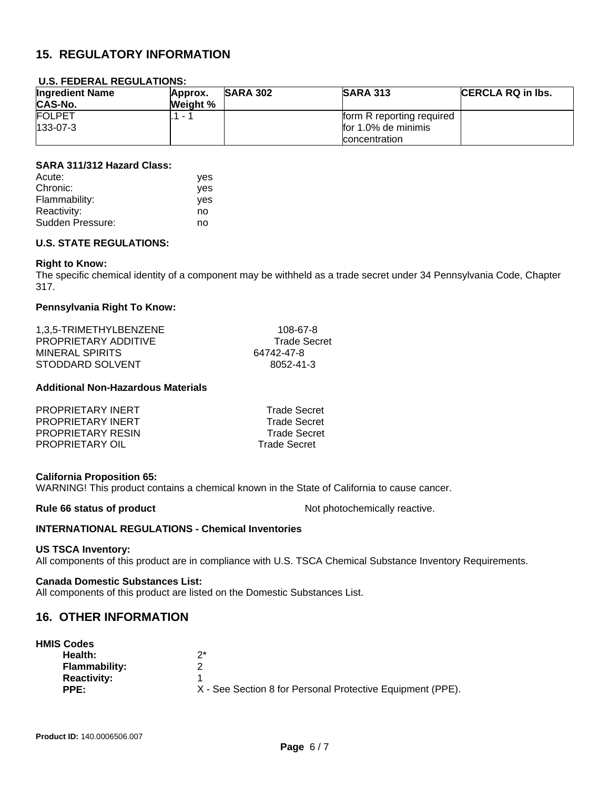# **15. REGULATORY INFORMATION**

#### **U.S. FEDERAL REGULATIONS:**

| <b>Ingredient Name</b><br><b>CAS-No.</b> | Approx.<br>Weight % | <b>SARA 302</b> | <b>SARA 313</b>           | <b>ICERCLA RQ in Ibs.</b> |
|------------------------------------------|---------------------|-----------------|---------------------------|---------------------------|
| <b>FOLPET</b>                            | $1 - 7$             |                 | form R reporting required |                           |
| $133-07-3$                               |                     |                 | for 1.0% de minimis       |                           |
|                                          |                     |                 | concentration             |                           |

#### **SARA 311/312 Hazard Class:**

| Acute:           | ves        |
|------------------|------------|
| Chronic:         | <b>ves</b> |
| Flammability:    | <b>ves</b> |
| Reactivity:      | no         |
| Sudden Pressure: | no         |

#### **U.S. STATE REGULATIONS:**

#### **Right to Know:**

The specific chemical identity of a component may be withheld as a trade secret under 34 Pennsylvania Code, Chapter 317.

#### **Pennsylvania Right To Know:**

| 1.3.5-TRIMETHYLBENZENE | 108-67-8            |
|------------------------|---------------------|
| PROPRIETARY ADDITIVE   | <b>Trade Secret</b> |
| MINERAL SPIRITS        | 64742-47-8          |
| STODDARD SOLVENT       | 8052-41-3           |

#### **Additional Non-Hazardous Materials**

| PROPRIETARY INERT        | <b>Trade Secret</b> |
|--------------------------|---------------------|
| PROPRIETARY INERT        | <b>Trade Secret</b> |
| <b>PROPRIETARY RESIN</b> | <b>Trade Secret</b> |
| PROPRIETARY OIL          | <b>Trade Secret</b> |

#### **California Proposition 65:**

WARNING! This product contains a chemical known in the State of California to cause cancer.

**Rule 66 status of product** Not photochemically reactive.

#### **INTERNATIONAL REGULATIONS - Chemical Inventories**

#### **US TSCA Inventory:**

All components of this product are in compliance with U.S. TSCA Chemical Substance Inventory Requirements.

#### **Canada Domestic Substances List:**

All components of this product are listed on the Domestic Substances List.

#### **16. OTHER INFORMATION**

| <b>HMIS Codes</b>    |                                                            |
|----------------------|------------------------------------------------------------|
| Health:              | つ*                                                         |
| <b>Flammability:</b> |                                                            |
| <b>Reactivity:</b>   |                                                            |
| PPE:                 | X - See Section 8 for Personal Protective Equipment (PPE). |